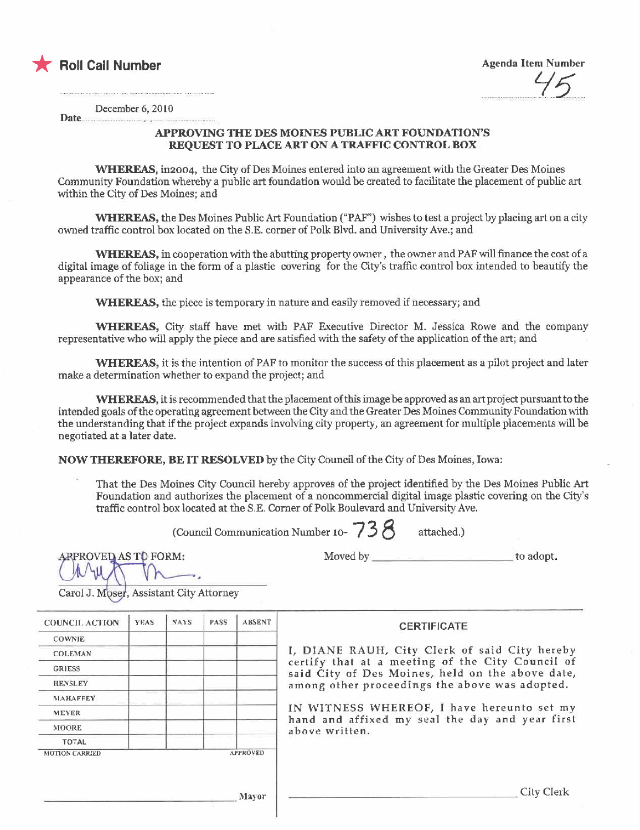

 $\overline{\phantom{a}}$  Roll Call Number Agenda Item Number Agenda Item Number  $\frac{a}{\sqrt{5}}$ 

Date. December 6, 2010

## APPROVING THE DES MOINES PUBLIC ART FOUNDATION'S REQUEST TO PLACE ART ON A TRAFIC CONTROL BOX

\VERE, in2oo4, the City of Des Moines entered into an agreement with the Greater Des Moines Community Foundation whereby a public art foundation would be created to faciltate the placement of public art within the City of Des Moines; and

WHEREAS, the Des Moines Public Art Foundation ("PAF") wishes to test a project by placing art on a city owned traffc control box located on the S.E. corner of Polk Blvd. and University Ave.; and

WHEREAS, in cooperation with the abutting property owner, the owner and PAF will finance the cost of a digital image of foliage in the form of a plastic covering for the City's traffic control box intended to beautify the appearance of the box; and

WHEREAS, the piece is temporary in nature and easily removed if necessary; and

WHEREAS, City staff have met with PAF Executive Director M. Jessica Rowe and the company representative who will apply the piece and are satisfied with the safety of the application of the art; and

WHEREAS, it is the intention of PAF to monitor the success of this placement as a pilot project and later make a determination whether to expand the project; and

WHEREAS, it is recommended that the placement of this image be approved as an art project pursuant to the intended goals of the operating agreement between the City and the Greater Des Moines Community Foundation with the understanding that if the project expands involving city property, an agreement for multiple placements will be negotiated at a later date.

NOW THEREFORE, BE IT RESOLVED by the City Council of the City of Des Moines, Iowa:

That the Des Moines City Council hereby approves of the project identified by the Des Moines Public Ar Foundation and authorizes the placement of a noncommercial digital image plastic covering on the Citys traffc control box located at the S.E. Comer of Polk Boulevard and University Ave.

(Council Communication Number 10-  $738$  attached.)

ARPROVED AS TO FORM:

Moved by to adopt.

Carol J. Moser, Assistant City Attorney

| <b>COUNCIL ACTION</b> | YEAS | <b>NAYS</b> | PASS            | <b>ABSENT</b> |
|-----------------------|------|-------------|-----------------|---------------|
| COWNIE                |      |             |                 |               |
| <b>COLEMAN</b>        |      |             |                 |               |
| <b>GRIESS</b>         |      |             |                 |               |
| <b>HENSLEY</b>        |      |             |                 |               |
| MAHAFFEY              |      |             |                 |               |
| <b>MEYER</b>          |      |             |                 |               |
| <b>MOORE</b>          |      |             |                 |               |
| <b>TOTAL</b>          |      |             |                 |               |
| <b>MOTION CARRIED</b> |      |             | <b>APPROVED</b> |               |

## **CERTIFICATE**

I, DIANE RAUH, City Clerk of said City hereby certify that al a meeting of the City Council of said City of Des Moines, held on the above date, among other proceedings the above was adopted.

IN WITNESS WHEREOF, I have hereunto set my hand and affixed my seal the day and year first above written.

:\1a)'or City Clerk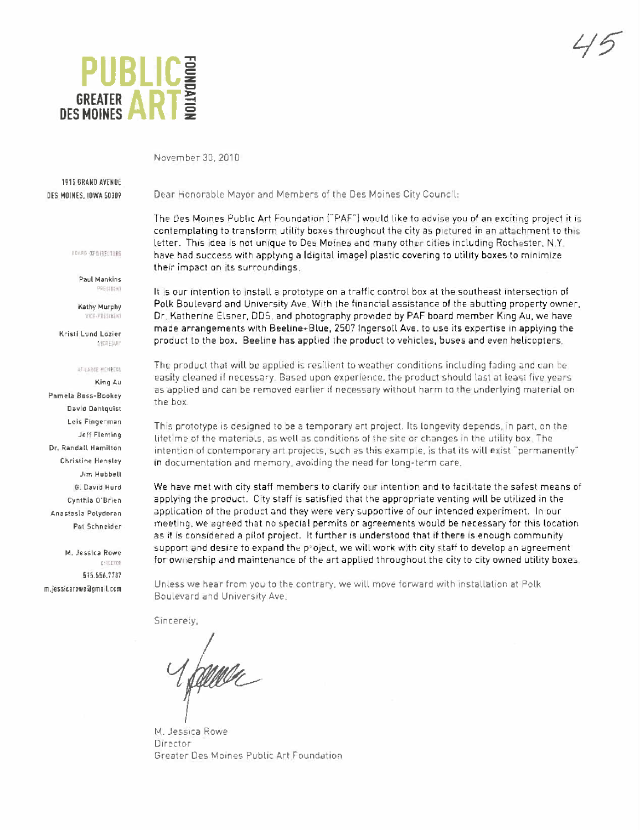

 $45'$ 

November 30. 2010

**1915 GRAND AVENUE** DES MOINES, IOWA 50309

Dear Honorable Mayor and Members of the Des Moines City Council:

100lD 01 ~1.i'10'S

Paul Mankins PRESIDENT

Kathy Murphy VICE-PHISTRENT

Kristil und Lozien  $r$  and  $r$  .  $r$ 

## AT-LARGE MERBEGG

KingAu Pamela Bass-Bookey David Dahlquist Lois Fingerman Jeff Fleming Dr, Randall Hamilton Christine Hensley Jim Hubbell G. David Hurd Cynthia O'Brien Anastasia Polydoran Pat Schneider

M. Jessica Rowe ~'!inO' 515.556.7787 m.jesSitir~w!ligriiil.com The Des Moines Public Art Foundation ("PAF") would like to advise you of an exciting project it is contemplating to transform utility boxes throughout the city as pictured in an attachment to this letter. This idea 15 not unique to Des Moines and many other cities including Rochester, N.Y. have had success with applying a (digital image) plastic covering to utility boxes to minimize their impact on its surroundings.

It 15 our intention to install a prototype on a traffic control box at the southeast intersection of PoLk Boulevard and University Ave. With the financiaL assistance of the abutting property owner, Or. Katherine Elsner, DDS, and photography provided by PAF board member King Au, we have made arrangements with Beeline+Blue, 2507 Ingersoll Ave. to use its expertise in applying the product to the box. Beeline has applied the product to vehicles, buses and even helicopters.

The product that will be applied is resilient to weather conditions including fading and can be easily cleaned if necessary. Based upon experience, the product should last at least five years as applied and can be removed earlier if necessary without harm to the underlying material on the box,

This prototype is designed to be a temporary art project. Its Longevity depends, in part, on the lifetime of the materials, as well as conditions of the site or changes in the utility box. The intention of contemporary art projects, such as this example, is that its will exist "permanently" in documentation and memory. avoiding the need for Long-term care.

We have met with city staff members to clarify our intention and to facilitate the safest means of applying the product. City staff is satisfied that the appropriate venting will be utilized in the application of the product and they were very supportive of our intended experiment. In our meeting, we agreed that no special permits or agreements would be necessary for this location as it is considered a pilot project. It further is understood that if there is enough community support and desire to expand the project, we will work with city staff to develop an agreement for ownership and maintenance of the art applied throughout the city to city owned utility boxes.

Unless we hear from you to the contrary, we will move forward with installation at Polk Boulevard and University Ave.

Sincerely,

M. Jessica Rowe Director Greater Des MOines PubLic Art Foundation